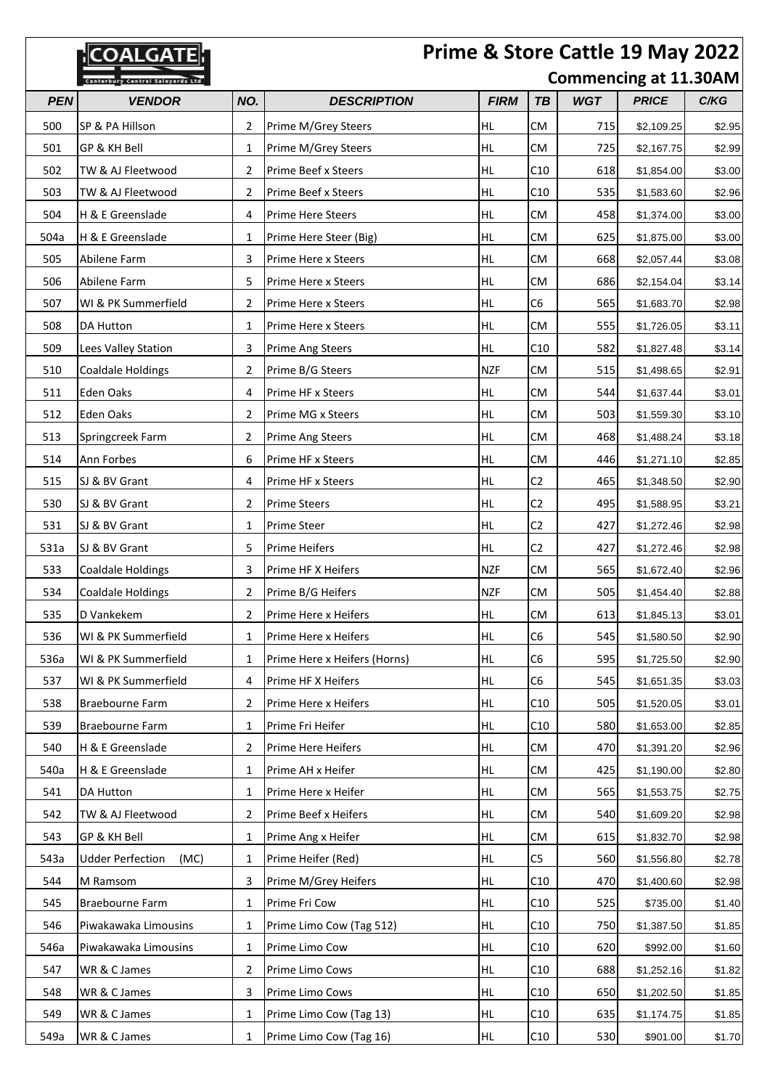|            | <b>COALGATE</b>                         |                |                              |             |                |            | Prime & Store Cattle 19 May 2022 |        |
|------------|-----------------------------------------|----------------|------------------------------|-------------|----------------|------------|----------------------------------|--------|
|            | <b>Canterbury Central Saleyards Ltd</b> |                |                              |             |                |            | <b>Commencing at 11.30AM</b>     |        |
| <b>PEN</b> | <b>VENDOR</b>                           | NO.            | <b>DESCRIPTION</b>           | <b>FIRM</b> | <b>TB</b>      | <b>WGT</b> | <b>PRICE</b>                     | C/KG   |
| 500        | SP & PA Hillson                         | $\overline{2}$ | Prime M/Grey Steers          | HL          | СM             | 715        | \$2,109.25                       | \$2.95 |
| 501        | GP & KH Bell                            | 1              | Prime M/Grey Steers          | HL          | <b>CM</b>      | 725        | \$2,167.75                       | \$2.99 |
| 502        | TW & AJ Fleetwood                       | 2              | Prime Beef x Steers          | HL          | C10            | 618        | \$1,854.00                       | \$3.00 |
| 503        | TW & AJ Fleetwood                       | 2              | <b>Prime Beef x Steers</b>   | HL          | C10            | 535        | \$1,583.60                       | \$2.96 |
| 504        | H & E Greenslade                        | 4              | <b>Prime Here Steers</b>     | HL          | СM             | 458        | \$1,374.00                       | \$3.00 |
| 504a       | H & E Greenslade                        | 1              | Prime Here Steer (Big)       | HL          | <b>CM</b>      | 625        | \$1,875.00                       | \$3.00 |
| 505        | Abilene Farm                            | 3              | Prime Here x Steers          | HL          | <b>CM</b>      | 668        | \$2,057.44                       | \$3.08 |
| 506        | Abilene Farm                            | 5              | Prime Here x Steers          | HL          | <b>CM</b>      | 686        | \$2,154.04                       | \$3.14 |
| 507        | WI & PK Summerfield                     | 2              | Prime Here x Steers          | HL          | C <sub>6</sub> | 565        | \$1,683.70                       | \$2.98 |
| 508        | <b>DA Hutton</b>                        | 1              | Prime Here x Steers          | HL          | СM             | 555        | \$1,726.05                       | \$3.11 |
| 509        | Lees Valley Station                     | 3              | <b>Prime Ang Steers</b>      | HL.         | C10            | 582        | \$1,827.48                       | \$3.14 |
| 510        | <b>Coaldale Holdings</b>                | 2              | Prime B/G Steers             | <b>NZF</b>  | СM             | 515        | \$1,498.65                       | \$2.91 |
| 511        | Eden Oaks                               | 4              | Prime HF x Steers            | HL          | <b>CM</b>      | 544        | \$1,637.44                       | \$3.01 |
| 512        | Eden Oaks                               | $\overline{2}$ | Prime MG x Steers            | HL          | <b>CM</b>      | 503        | \$1,559.30                       | \$3.10 |
| 513        | Springcreek Farm                        | $\overline{2}$ | <b>Prime Ang Steers</b>      | HL          | <b>CM</b>      | 468        | \$1,488.24                       | \$3.18 |
| 514        | Ann Forbes                              | 6              | Prime HF x Steers            | HL          | <b>CM</b>      | 446        | \$1,271.10                       | \$2.85 |
| 515        | SJ & BV Grant                           | 4              | Prime HF x Steers            | HL          | C <sub>2</sub> | 465        | \$1,348.50                       | \$2.90 |
| 530        | SJ & BV Grant                           | 2              | <b>Prime Steers</b>          | HL          | C <sub>2</sub> | 495        | \$1,588.95                       | \$3.21 |
| 531        | SJ & BV Grant                           | 1              | <b>Prime Steer</b>           | HL          | C <sub>2</sub> | 427        | \$1,272.46                       | \$2.98 |
| 531a       | SJ & BV Grant                           | 5              | Prime Heifers                | HL          | C <sub>2</sub> | 427        | \$1,272.46                       | \$2.98 |
| 533        | <b>Coaldale Holdings</b>                | 3              | Prime HF X Heifers           | <b>NZF</b>  | <b>CM</b>      | 565        | \$1,672.40                       | \$2.96 |
| 534        | <b>Coaldale Holdings</b>                | 2              | Prime B/G Heifers            | <b>NZF</b>  | <b>CM</b>      | 505        | \$1,454.40                       | \$2.88 |
| 535        | D Vankekem                              | 2              | Prime Here x Heifers         | HL          | CM             | 613        | \$1,845.13                       | \$3.01 |
| 536        | WI & PK Summerfield                     | 1              | Prime Here x Heifers         | HL.         | C6             | 545        | \$1,580.50                       | \$2.90 |
| 536a       | WI & PK Summerfield                     | 1              | Prime Here x Heifers (Horns) | HL          | C6             | 595        | \$1,725.50                       | \$2.90 |
| 537        | WI & PK Summerfield                     | 4              | Prime HF X Heifers           | HL          | C <sub>6</sub> | 545        | \$1,651.35                       | \$3.03 |
| 538        | Braebourne Farm                         | 2              | Prime Here x Heifers         | HL          | C10            | 505        | \$1,520.05                       | \$3.01 |
| 539        | Braebourne Farm                         | 1              | Prime Fri Heifer             | HL          | C10            | 580        | \$1,653.00                       | \$2.85 |
| 540        | H & E Greenslade                        | 2              | Prime Here Heifers           | HL          | CM             | 470        | \$1,391.20                       | \$2.96 |
| 540a       | H & E Greenslade                        | 1              | Prime AH x Heifer            | HL.         | CM             | 425        | \$1,190.00                       | \$2.80 |
| 541        | <b>DA Hutton</b>                        | 1              | Prime Here x Heifer          | HL.         | CM             | 565        | \$1,553.75                       | \$2.75 |
| 542        | TW & AJ Fleetwood                       | 2              | Prime Beef x Heifers         | HL          | CM.            | 540        | \$1,609.20                       | \$2.98 |
| 543        | GP & KH Bell                            | 1              | Prime Ang x Heifer           | HL          | CM             | 615        | \$1,832.70                       | \$2.98 |
| 543a       | <b>Udder Perfection</b><br>(MC)         | 1              | Prime Heifer (Red)           | HL          | C <sub>5</sub> | 560        | \$1,556.80                       | \$2.78 |
| 544        | M Ramsom                                | 3              | Prime M/Grey Heifers         | HL          | C10            | 470        | \$1,400.60                       | \$2.98 |
| 545        | Braebourne Farm                         | 1              | Prime Fri Cow                | HL.         | C10            | 525        | \$735.00                         | \$1.40 |
| 546        | Piwakawaka Limousins                    | 1              | Prime Limo Cow (Tag 512)     | HL          | C10            | 750        | \$1,387.50                       | \$1.85 |
| 546a       | Piwakawaka Limousins                    | 1              | Prime Limo Cow               | HL.         | C10            | 620        | \$992.00                         | \$1.60 |
| 547        | WR & C James                            | 2              | Prime Limo Cows              | HL          | C10            | 688        | \$1,252.16                       | \$1.82 |
| 548        | WR & C James                            | 3              | Prime Limo Cows              | HL          | C10            | 650        | \$1,202.50                       | \$1.85 |
| 549        | WR & C James                            | 1              | Prime Limo Cow (Tag 13)      | HL          | C10            | 635        | \$1,174.75                       | \$1.85 |
| 549a       | WR & C James                            | 1              | Prime Limo Cow (Tag 16)      | HL          | C10            | 530        | \$901.00                         | \$1.70 |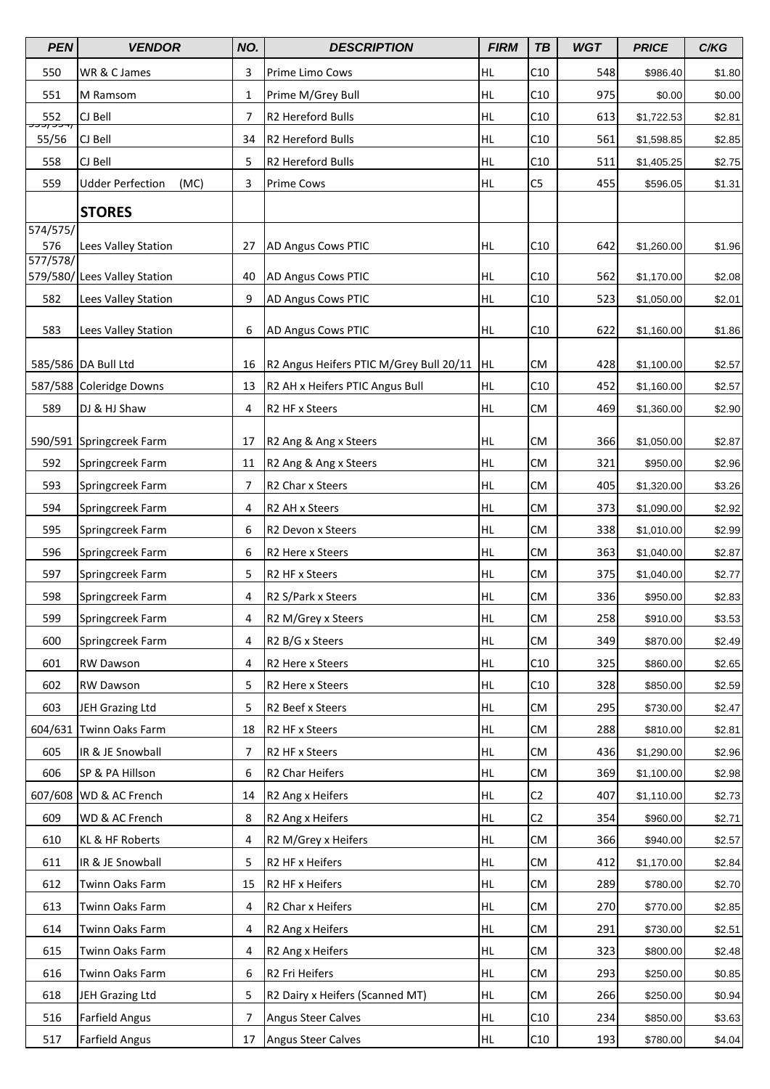| <b>PEN</b>                | <b>VENDOR</b>                   | NO. | <b>DESCRIPTION</b>                      | <b>FIRM</b> | <b>TB</b>      | <b>WGT</b> | <b>PRICE</b> | C/KG   |
|---------------------------|---------------------------------|-----|-----------------------------------------|-------------|----------------|------------|--------------|--------|
| 550                       | WR & C James                    | 3   | Prime Limo Cows                         | HL.         | C10            | 548        | \$986.40     | \$1.80 |
| 551                       | M Ramsom                        | 1   | Prime M/Grey Bull                       | HL          | C10            | 975        | \$0.00       | \$0.00 |
| 552                       | CJ Bell                         | 7   | R2 Hereford Bulls                       | HL          | C10            | 613        | \$1,722.53   | \$2.81 |
| <del>J7 JJ</del><br>55/56 | CJ Bell                         | 34  | R2 Hereford Bulls                       | HL          | C10            | 561        | \$1,598.85   | \$2.85 |
| 558                       | CJ Bell                         | 5   | R2 Hereford Bulls                       | HL          | C10            | 511        | \$1,405.25   | \$2.75 |
| 559                       | <b>Udder Perfection</b><br>(MC) | 3   | <b>Prime Cows</b>                       | HL          | C <sub>5</sub> | 455        | \$596.05     | \$1.31 |
|                           | <b>STORES</b>                   |     |                                         |             |                |            |              |        |
| 574/575/                  |                                 |     |                                         |             |                |            |              |        |
| 576                       | Lees Valley Station             | 27  | <b>AD Angus Cows PTIC</b>               | HL          | C10            | 642        | \$1,260.00   | \$1.96 |
| 577/578/                  | 579/580/ Lees Valley Station    | 40  | <b>AD Angus Cows PTIC</b>               | HL          | C10            | 562        | \$1,170.00   | \$2.08 |
| 582                       | Lees Valley Station             | 9   | AD Angus Cows PTIC                      | HL          | C10            | 523        | \$1,050.00   | \$2.01 |
|                           |                                 |     |                                         |             |                |            |              |        |
| 583                       | Lees Valley Station             | 6   | <b>AD Angus Cows PTIC</b>               | HL          | C10            | 622        | \$1,160.00   | \$1.86 |
|                           | 585/586 DA Bull Ltd             | 16  | R2 Angus Heifers PTIC M/Grey Bull 20/11 | <b>HL</b>   | CM             | 428        | \$1,100.00   | \$2.57 |
|                           | 587/588 Coleridge Downs         | 13  | R2 AH x Heifers PTIC Angus Bull         | HL          | C10            | 452        | \$1,160.00   | \$2.57 |
| 589                       | DJ & HJ Shaw                    | 4   | R2 HF x Steers                          | HL          | <b>CM</b>      | 469        | \$1,360.00   | \$2.90 |
|                           |                                 |     |                                         |             |                |            |              |        |
|                           | 590/591 Springcreek Farm        | 17  | R2 Ang & Ang x Steers                   | HL.         | CM             | 366        | \$1,050.00   | \$2.87 |
| 592                       | Springcreek Farm                | 11  | R2 Ang & Ang x Steers                   | <b>HL</b>   | <b>CM</b>      | 321        | \$950.00     | \$2.96 |
| 593                       | Springcreek Farm                | 7   | R2 Char x Steers                        | HL          | CM             | 405        | \$1,320.00   | \$3.26 |
| 594                       | Springcreek Farm                | 4   | R2 AH x Steers                          | HL          | CM             | 373        | \$1,090.00   | \$2.92 |
| 595                       | Springcreek Farm                | 6   | R2 Devon x Steers                       | HL          | <b>CM</b>      | 338        | \$1,010.00   | \$2.99 |
| 596                       | Springcreek Farm                | 6   | R <sub>2</sub> Here x Steers            | HL          | <b>CM</b>      | 363        | \$1,040.00   | \$2.87 |
| 597                       | Springcreek Farm                | 5   | R2 HF x Steers                          | HL          | CM             | 375        | \$1,040.00   | \$2.77 |
| 598                       | Springcreek Farm                | 4   | R2 S/Park x Steers                      | HL          | CM             | 336        | \$950.00     | \$2.83 |
| 599                       | Springcreek Farm                | 4   | R2 M/Grey x Steers                      | HL          | CM             | 258        | \$910.00     | \$3.53 |
| 600                       | Springcreek Farm                | 4   | R2 B/G x Steers                         | HL          | CM             | 349        | \$870.00     | \$2.49 |
| 601                       | <b>RW Dawson</b>                | 4   | R2 Here x Steers                        | HL          | C10            | 325        | \$860.00     | \$2.65 |
| 602                       | <b>RW Dawson</b>                | 5   | R2 Here x Steers                        | HL          | C10            | 328        | \$850.00     | \$2.59 |
| 603                       | JEH Grazing Ltd                 | 5   | R2 Beef x Steers                        | HL          | CM             | 295        | \$730.00     | \$2.47 |
| 604/631                   | Twinn Oaks Farm                 | 18  | R2 HF x Steers                          | HL          | CM             | 288        | \$810.00     | \$2.81 |
| 605                       | IR & JE Snowball                | 7   | R2 HF x Steers                          | HL.         | СM             | 436        | \$1,290.00   | \$2.96 |
| 606                       | SP & PA Hillson                 | 6   | R2 Char Heifers                         | HL          | CM             | 369        | \$1,100.00   | \$2.98 |
|                           | 607/608 WD & AC French          | 14  | R2 Ang x Heifers                        | HL          | C <sub>2</sub> | 407        | \$1,110.00   | \$2.73 |
| 609                       | WD & AC French                  | 8   | R2 Ang x Heifers                        | HL          | C2             | 354        | \$960.00     | \$2.71 |
| 610                       | KL & HF Roberts                 | 4   | R2 M/Grey x Heifers                     | HL          | CM             | 366        | \$940.00     | \$2.57 |
| 611                       | IR & JE Snowball                | 5   | R2 HF x Heifers                         | HL          | CM             | 412        | \$1,170.00   | \$2.84 |
| 612                       | Twinn Oaks Farm                 | 15  | R2 HF x Heifers                         | HL          | CM             | 289        | \$780.00     | \$2.70 |
| 613                       | Twinn Oaks Farm                 | 4   | R2 Char x Heifers                       | HL.         | CM             | 270        | \$770.00     | \$2.85 |
| 614                       | Twinn Oaks Farm                 | 4   | R2 Ang x Heifers                        | HL          | CM             | 291        | \$730.00     | \$2.51 |
| 615                       | Twinn Oaks Farm                 | 4   | R2 Ang x Heifers                        | HL          | CM             | 323        | \$800.00     | \$2.48 |
| 616                       | Twinn Oaks Farm                 | 6   | R2 Fri Heifers                          | HL          | CM             | 293        | \$250.00     | \$0.85 |
| 618                       | JEH Grazing Ltd                 | 5   | R2 Dairy x Heifers (Scanned MT)         | HL          | CM             | 266        | \$250.00     | \$0.94 |
| 516                       | <b>Farfield Angus</b>           | 7   | <b>Angus Steer Calves</b>               | HL          | C10            | 234        | \$850.00     | \$3.63 |
| 517                       | <b>Farfield Angus</b>           | 17  | Angus Steer Calves                      | HL          | C10            | 193        | \$780.00     | \$4.04 |